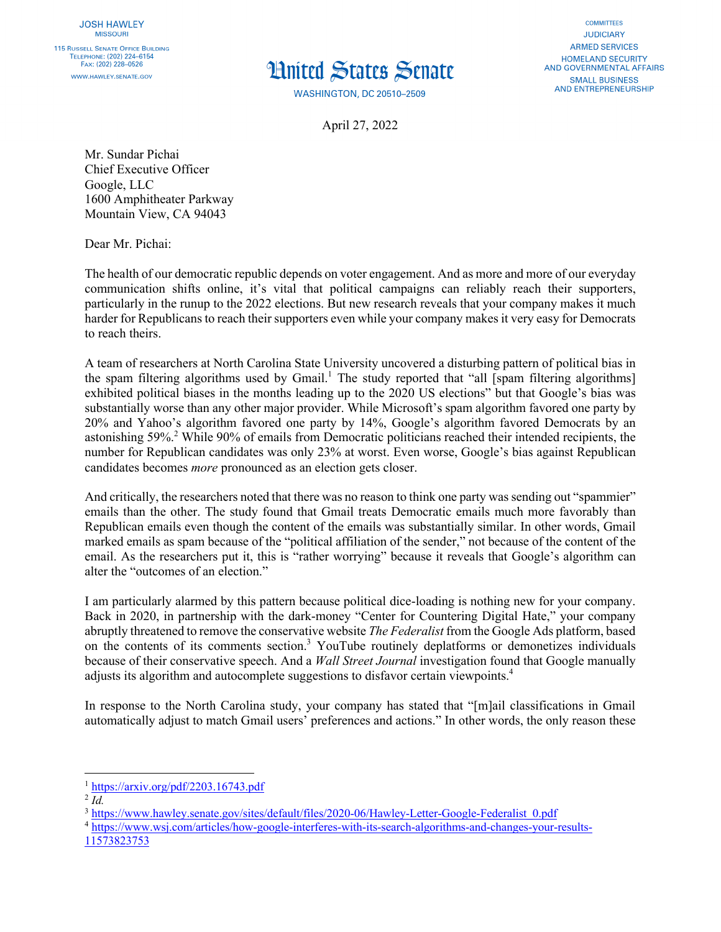

## **Hnited States Senate**

**WASHINGTON, DC 20510-2509** 

April 27, 2022

**COMMITTEES JUDICIARY ARMED SERVICES HOMELAND SECURITY** AND GOVERNMENTAL AFFAIRS **SMALL BUSINESS** AND ENTREPRENEURSHIP

Mr. Sundar Pichai Chief Executive Officer Google, LLC 1600 Amphitheater Parkway Mountain View, CA 94043

Dear Mr. Pichai:

The health of our democratic republic depends on voter engagement. And as more and more of our everyday communication shifts online, it's vital that political campaigns can reliably reach their supporters, particularly in the runup to the 2022 elections. But new research reveals that your company makes it much harder for Republicans to reach their supporters even while your company makes it very easy for Democrats to reach theirs.

A team of researchers at North Carolina State University uncovered a disturbing pattern of political bias in the spam filtering algorithms used by Gmail.<sup>1</sup> The study reported that "all  $\overline{S}$  [spam filtering algorithms] exhibited political biases in the months leading up to the 2020 US elections" but that Google's bias was substantially worse than any other major provider. While Microsoft's spam algorithm favored one party by 20% and Yahoo's algorithm favored one party by 14%, Google's algorithm favored Democrats by an astonishing 59%.2 While 90% of emails from Democratic politicians reached their intended recipients, the number for Republican candidates was only 23% at worst. Even worse, Google's bias against Republican candidates becomes *more* pronounced as an election gets closer.

And critically, the researchers noted that there was no reason to think one party was sending out "spammier" emails than the other. The study found that Gmail treats Democratic emails much more favorably than Republican emails even though the content of the emails was substantially similar. In other words, Gmail marked emails as spam because of the "political affiliation of the sender," not because of the content of the email. As the researchers put it, this is "rather worrying" because it reveals that Google's algorithm can alter the "outcomes of an election."

I am particularly alarmed by this pattern because political dice-loading is nothing new for your company. Back in 2020, in partnership with the dark-money "Center for Countering Digital Hate," your company abruptly threatened to remove the conservative website *The Federalist* from the Google Ads platform, based on the contents of its comments section.3 YouTube routinely deplatforms or demonetizes individuals because of their conservative speech. And a *Wall Street Journal* investigation found that Google manually adjusts its algorithm and autocomplete suggestions to disfavor certain viewpoints.4

In response to the North Carolina study, your company has stated that "[m]ail classifications in Gmail automatically adjust to match Gmail users' preferences and actions." In other words, the only reason these

<sup>1</sup> https://arxiv.org/pdf/2203.16743.pdf

 $^{2}$  *Id.* 

<sup>3</sup> https://www.hawley.senate.gov/sites/default/files/2020-06/Hawley-Letter-Google-Federalist\_0.pdf

<sup>4</sup> https://www.wsj.com/articles/how-google-interferes-with-its-search-algorithms-and-changes-your-results-11573823753